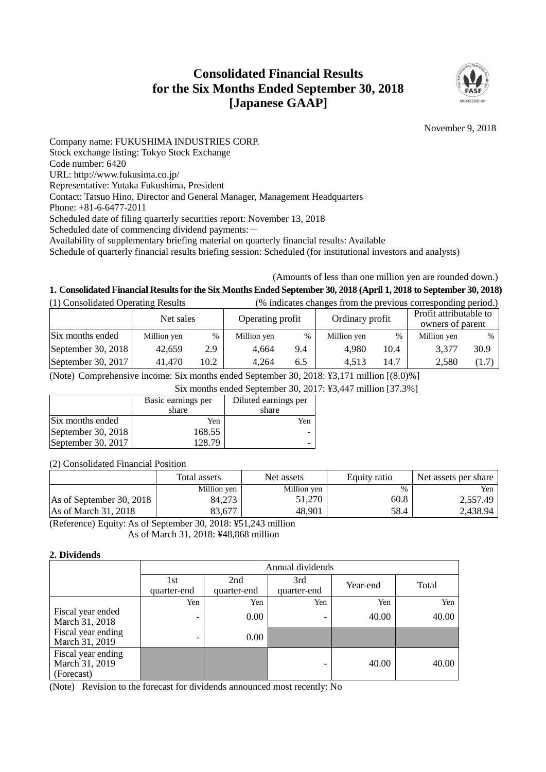# **Consolidated Financial Results for the Six Months Ended September 30, 2018 [Japanese GAAP]**



November 9, 2018

Company name: FUKUSHIMA INDUSTRIES CORP. Stock exchange listing: Tokyo Stock Exchange Code number: 6420 URL: http://www.fukusima.co.jp/ Representative: Yutaka Fukushima, President Contact: Tatsuo Hino, Director and General Manager, Management Headquarters Phone: +81-6-6477-2011 Scheduled date of filing quarterly securities report: November 13, 2018 Scheduled date of commencing dividend payments: -Availability of supplementary briefing material on quarterly financial results: Available

Schedule of quarterly financial results briefing session: Scheduled (for institutional investors and analysts)

## (Amounts of less than one million yen are rounded down.)

## **1. Consolidated Financial Results for the Six Months Ended September 30, 2018 (April 1, 2018 to September 30, 2018)**

| (1) Consolidated Operating Results |             |                               | (% indicates changes from the previous corresponding period.) |                 |             |                                            |             |       |
|------------------------------------|-------------|-------------------------------|---------------------------------------------------------------|-----------------|-------------|--------------------------------------------|-------------|-------|
|                                    |             | Operating profit<br>Net sales |                                                               | Ordinary profit |             | Profit attributable to<br>owners of parent |             |       |
| Six months ended                   | Million yen | $\%$                          | Million yen                                                   | $\%$            | Million yen | %                                          | Million yen | $\%$  |
| September 30, 2018                 | 42.659      | 2.9                           | 4.664                                                         | 9.4             | 4.980       | 10.4                                       | 3,377       | 30.9  |
| September 30, 2017                 | 41,470      | 10.2                          | 4.264                                                         | 6.5             | 4.513       | 14.7                                       | 2,580       | (1.7) |

(Note) Comprehensive income: Six months ended September 30, 2018: ¥3,171 million [(8.0)%]

Six months ended September 30, 2017: ¥3,447 million [37.3%]

|                    | Basic earnings per | Diluted earnings per |
|--------------------|--------------------|----------------------|
|                    | share              | share                |
| Six months ended   | Yen                | Yen                  |
| September 30, 2018 | 168.55             |                      |
| September 30, 2017 | 128.79             |                      |

(2) Consolidated Financial Position

|                          | Total assets | Net assets  | Equity ratio | Net assets per share |
|--------------------------|--------------|-------------|--------------|----------------------|
|                          | Million yen  | Million yen | %            | Yen                  |
| As of September 30, 2018 | 84.273       | 51.270      | 60.8         | 2,557.49             |
| As of March 31, 2018     | 83.677       | 48.901      | 58.4         | 2,438.94             |

(Reference) Equity: As of September 30, 2018: ¥51,243 million As of March 31, 2018: ¥48,868 million

#### **2. Dividends**

|                                                    | Annual dividends         |                    |                              |          |       |  |  |
|----------------------------------------------------|--------------------------|--------------------|------------------------------|----------|-------|--|--|
|                                                    | 1st<br>quarter-end       | 2nd<br>quarter-end | 3rd<br>quarter-end           | Year-end | Total |  |  |
|                                                    | Yen                      | Yen                | Yen                          | Yen      | Yen   |  |  |
| Fiscal year ended<br>March 31, 2018                | $\overline{\phantom{0}}$ | 0.00               | $\qquad \qquad \blacksquare$ | 40.00    | 40.00 |  |  |
| Fiscal year ending<br>March 31, 2019               |                          | $0.00\,$           |                              |          |       |  |  |
| Fiscal year ending<br>March 31, 2019<br>(Forecast) |                          |                    | -                            | 40.00    | 40.00 |  |  |

(Note) Revision to the forecast for dividends announced most recently: No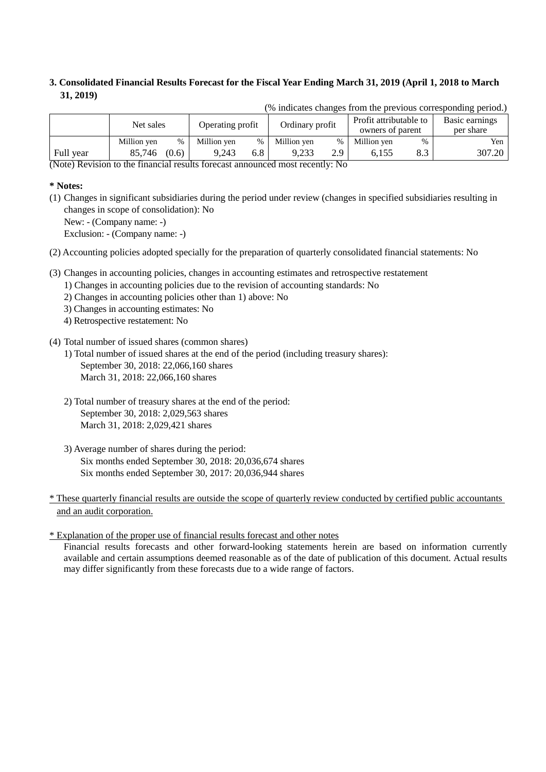## **3. Consolidated Financial Results Forecast for the Fiscal Year Ending March 31, 2019 (April 1, 2018 to March 31, 2019)**

| $\mu$ indicates enanges from the previous corresponding period. |             |       |             |                                                                                   |             |      |             |      |                             |
|-----------------------------------------------------------------|-------------|-------|-------------|-----------------------------------------------------------------------------------|-------------|------|-------------|------|-----------------------------|
|                                                                 | Net sales   |       |             | Profit attributable to<br>Ordinary profit<br>Operating profit<br>owners of parent |             |      |             |      | Basic earnings<br>per share |
|                                                                 | Million yen | $\%$  | Million yen | $\%$                                                                              | Million yen | $\%$ | Million yen | $\%$ | Yen                         |
| Full year                                                       | 85,746      | (0.6) | 9.243       | 6.8                                                                               | 9.233       | 2.9  | 6.155       | 8.3  | 307.20                      |
| $AT \cdot \mathbf{D}$                                           |             |       |             |                                                                                   |             |      |             |      |                             |

 $(%$  indicates changes from the previous corresponding period.)

(Note) Revision to the financial results forecast announced most recently: No

### **\* Notes:**

(1) Changes in significant subsidiaries during the period under review (changes in specified subsidiaries resulting in changes in scope of consolidation): No

New: - (Company name: -)

Exclusion: - (Company name: -)

(2) Accounting policies adopted specially for the preparation of quarterly consolidated financial statements: No

- (3) Changes in accounting policies, changes in accounting estimates and retrospective restatement
	- 1) Changes in accounting policies due to the revision of accounting standards: No
		- 2) Changes in accounting policies other than 1) above: No
		- 3) Changes in accounting estimates: No
		- 4) Retrospective restatement: No

## (4) Total number of issued shares (common shares)

- 1) Total number of issued shares at the end of the period (including treasury shares): September 30, 2018: 22,066,160 shares March 31, 2018: 22,066,160 shares
- 2) Total number of treasury shares at the end of the period: September 30, 2018: 2,029,563 shares March 31, 2018: 2,029,421 shares
- 3) Average number of shares during the period: Six months ended September 30, 2018: 20,036,674 shares Six months ended September 30, 2017: 20,036,944 shares
- \* These quarterly financial results are outside the scope of quarterly review conducted by certified public accountants and an audit corporation.

\* Explanation of the proper use of financial results forecast and other notes

Financial results forecasts and other forward-looking statements herein are based on information currently available and certain assumptions deemed reasonable as of the date of publication of this document. Actual results may differ significantly from these forecasts due to a wide range of factors.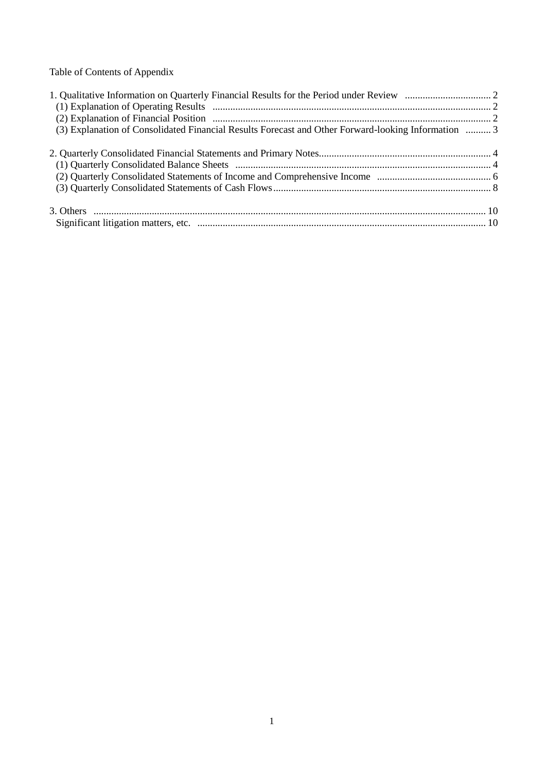Table of Contents of Appendix

| (3) Explanation of Consolidated Financial Results Forecast and Other Forward-looking Information  3 |  |
|-----------------------------------------------------------------------------------------------------|--|
|                                                                                                     |  |
|                                                                                                     |  |
|                                                                                                     |  |
|                                                                                                     |  |
|                                                                                                     |  |
|                                                                                                     |  |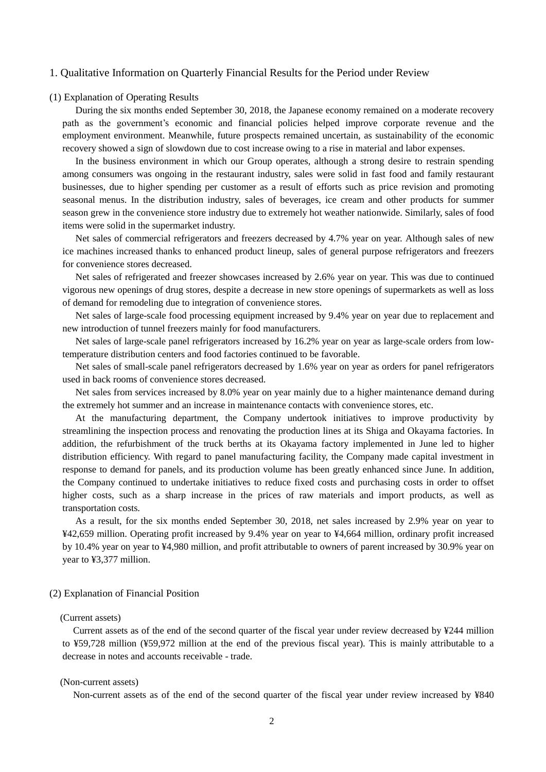#### 1. Qualitative Information on Quarterly Financial Results for the Period under Review

#### (1) Explanation of Operating Results

During the six months ended September 30, 2018, the Japanese economy remained on a moderate recovery path as the government's economic and financial policies helped improve corporate revenue and the employment environment. Meanwhile, future prospects remained uncertain, as sustainability of the economic recovery showed a sign of slowdown due to cost increase owing to a rise in material and labor expenses.

In the business environment in which our Group operates, although a strong desire to restrain spending among consumers was ongoing in the restaurant industry, sales were solid in fast food and family restaurant businesses, due to higher spending per customer as a result of efforts such as price revision and promoting seasonal menus. In the distribution industry, sales of beverages, ice cream and other products for summer season grew in the convenience store industry due to extremely hot weather nationwide. Similarly, sales of food items were solid in the supermarket industry.

Net sales of commercial refrigerators and freezers decreased by 4.7% year on year. Although sales of new ice machines increased thanks to enhanced product lineup, sales of general purpose refrigerators and freezers for convenience stores decreased.

Net sales of refrigerated and freezer showcases increased by 2.6% year on year. This was due to continued vigorous new openings of drug stores, despite a decrease in new store openings of supermarkets as well as loss of demand for remodeling due to integration of convenience stores.

Net sales of large-scale food processing equipment increased by 9.4% year on year due to replacement and new introduction of tunnel freezers mainly for food manufacturers.

Net sales of large-scale panel refrigerators increased by 16.2% year on year as large-scale orders from lowtemperature distribution centers and food factories continued to be favorable.

Net sales of small-scale panel refrigerators decreased by 1.6% year on year as orders for panel refrigerators used in back rooms of convenience stores decreased.

Net sales from services increased by 8.0% year on year mainly due to a higher maintenance demand during the extremely hot summer and an increase in maintenance contacts with convenience stores, etc.

At the manufacturing department, the Company undertook initiatives to improve productivity by streamlining the inspection process and renovating the production lines at its Shiga and Okayama factories. In addition, the refurbishment of the truck berths at its Okayama factory implemented in June led to higher distribution efficiency. With regard to panel manufacturing facility, the Company made capital investment in response to demand for panels, and its production volume has been greatly enhanced since June. In addition, the Company continued to undertake initiatives to reduce fixed costs and purchasing costs in order to offset higher costs, such as a sharp increase in the prices of raw materials and import products, as well as transportation costs.

As a result, for the six months ended September 30, 2018, net sales increased by 2.9% year on year to ¥42,659 million. Operating profit increased by 9.4% year on year to ¥4,664 million, ordinary profit increased by 10.4% year on year to ¥4,980 million, and profit attributable to owners of parent increased by 30.9% year on year to ¥3,377 million.

#### (2) Explanation of Financial Position

#### (Current assets)

Current assets as of the end of the second quarter of the fiscal year under review decreased by ¥244 million to ¥59,728 million (¥59,972 million at the end of the previous fiscal year). This is mainly attributable to a decrease in notes and accounts receivable - trade.

#### (Non-current assets)

Non-current assets as of the end of the second quarter of the fiscal year under review increased by ¥840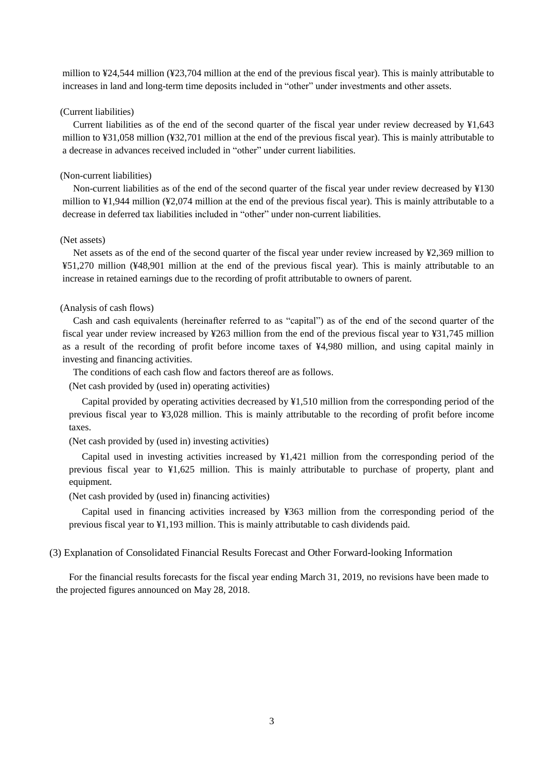million to ¥24,544 million (¥23,704 million at the end of the previous fiscal year). This is mainly attributable to increases in land and long-term time deposits included in "other" under investments and other assets.

#### (Current liabilities)

Current liabilities as of the end of the second quarter of the fiscal year under review decreased by ¥1,643 million to ¥31,058 million (¥32,701 million at the end of the previous fiscal year). This is mainly attributable to a decrease in advances received included in "other" under current liabilities.

### (Non-current liabilities)

Non-current liabilities as of the end of the second quarter of the fiscal year under review decreased by ¥130 million to ¥1,944 million (¥2,074 million at the end of the previous fiscal year). This is mainly attributable to a decrease in deferred tax liabilities included in "other" under non-current liabilities.

#### (Net assets)

Net assets as of the end of the second quarter of the fiscal year under review increased by ¥2,369 million to ¥51,270 million (¥48,901 million at the end of the previous fiscal year). This is mainly attributable to an increase in retained earnings due to the recording of profit attributable to owners of parent.

#### (Analysis of cash flows)

Cash and cash equivalents (hereinafter referred to as "capital") as of the end of the second quarter of the fiscal year under review increased by ¥263 million from the end of the previous fiscal year to ¥31,745 million as a result of the recording of profit before income taxes of ¥4,980 million, and using capital mainly in investing and financing activities.

The conditions of each cash flow and factors thereof are as follows.

(Net cash provided by (used in) operating activities)

Capital provided by operating activities decreased by ¥1,510 million from the corresponding period of the previous fiscal year to ¥3,028 million. This is mainly attributable to the recording of profit before income taxes.

(Net cash provided by (used in) investing activities)

Capital used in investing activities increased by ¥1,421 million from the corresponding period of the previous fiscal year to ¥1,625 million. This is mainly attributable to purchase of property, plant and equipment.

(Net cash provided by (used in) financing activities)

Capital used in financing activities increased by ¥363 million from the corresponding period of the previous fiscal year to ¥1,193 million. This is mainly attributable to cash dividends paid.

#### (3) Explanation of Consolidated Financial Results Forecast and Other Forward-looking Information

For the financial results forecasts for the fiscal year ending March 31, 2019, no revisions have been made to the projected figures announced on May 28, 2018.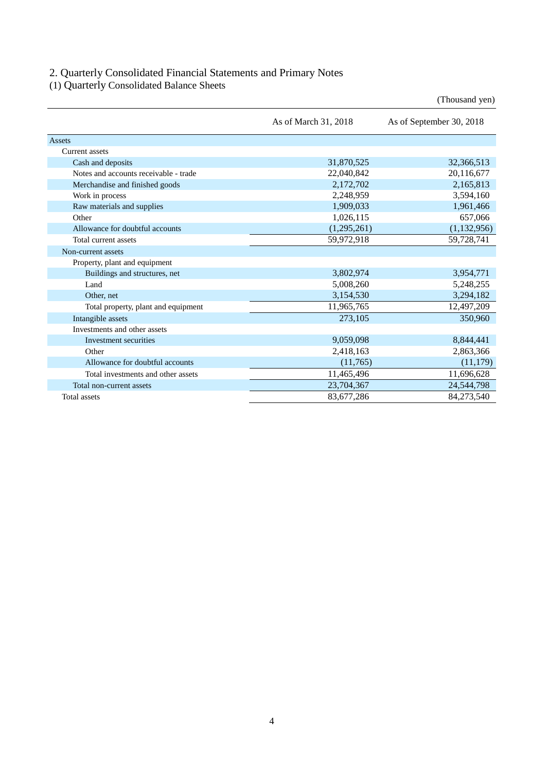### 2. Quarterly Consolidated Financial Statements and Primary Notes

(1) Quarterly Consolidated Balance Sheets

|                                       |                      | (Thousand yen)           |
|---------------------------------------|----------------------|--------------------------|
|                                       | As of March 31, 2018 | As of September 30, 2018 |
| Assets                                |                      |                          |
| Current assets                        |                      |                          |
| Cash and deposits                     | 31,870,525           | 32,366,513               |
| Notes and accounts receivable - trade | 22,040,842           | 20,116,677               |
| Merchandise and finished goods        | 2,172,702            | 2,165,813                |
| Work in process                       | 2,248,959            | 3,594,160                |
| Raw materials and supplies            | 1,909,033            | 1,961,466                |
| Other                                 | 1,026,115            | 657,066                  |
| Allowance for doubtful accounts       | (1,295,261)          | (1,132,956)              |
| Total current assets                  | 59,972,918           | 59,728,741               |
| Non-current assets                    |                      |                          |
| Property, plant and equipment         |                      |                          |
| Buildings and structures, net         | 3,802,974            | 3,954,771                |
| Land                                  | 5,008,260            | 5,248,255                |
| Other, net                            | 3,154,530            | 3,294,182                |
| Total property, plant and equipment   | 11,965,765           | 12,497,209               |
| Intangible assets                     | 273,105              | 350,960                  |
| Investments and other assets          |                      |                          |
| Investment securities                 | 9,059,098            | 8,844,441                |
| Other                                 | 2,418,163            | 2,863,366                |
| Allowance for doubtful accounts       | (11,765)             | (11, 179)                |
| Total investments and other assets    | 11,465,496           | 11,696,628               |
| Total non-current assets              | 23,704,367           | 24,544,798               |
| Total assets                          | 83,677,286           | 84,273,540               |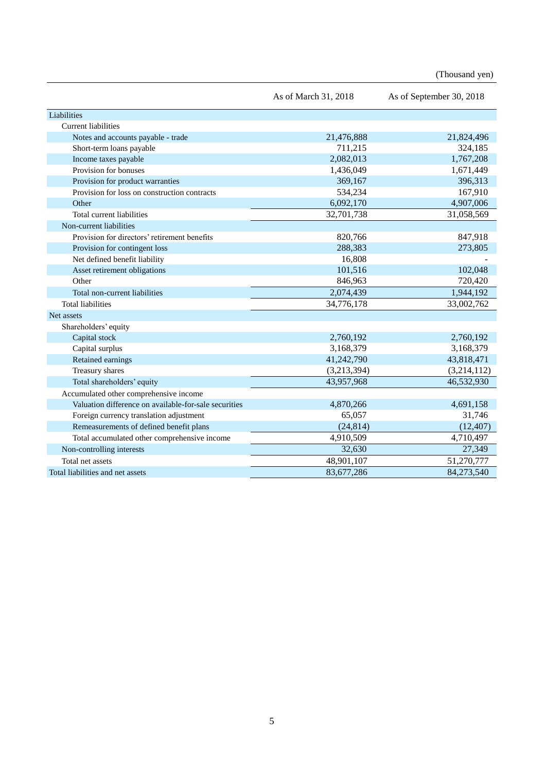(Thousand yen)

|                                                       | As of March 31, 2018 | As of September 30, 2018 |
|-------------------------------------------------------|----------------------|--------------------------|
| Liabilities                                           |                      |                          |
| <b>Current liabilities</b>                            |                      |                          |
| Notes and accounts payable - trade                    | 21,476,888           | 21,824,496               |
| Short-term loans payable                              | 711,215              | 324,185                  |
| Income taxes payable                                  | 2,082,013            | 1,767,208                |
| Provision for bonuses                                 | 1,436,049            | 1,671,449                |
| Provision for product warranties                      | 369,167              | 396,313                  |
| Provision for loss on construction contracts          | 534,234              | 167,910                  |
| Other                                                 | 6,092,170            | 4,907,006                |
| Total current liabilities                             | 32,701,738           | 31,058,569               |
| Non-current liabilities                               |                      |                          |
| Provision for directors' retirement benefits          | 820,766              | 847,918                  |
| Provision for contingent loss                         | 288,383              | 273,805                  |
| Net defined benefit liability                         | 16,808               |                          |
| Asset retirement obligations                          | 101,516              | 102,048                  |
| Other                                                 | 846,963              | 720,420                  |
| Total non-current liabilities                         | 2,074,439            | 1,944,192                |
| <b>Total liabilities</b>                              | 34,776,178           | 33,002,762               |
| Net assets                                            |                      |                          |
| Shareholders' equity                                  |                      |                          |
| Capital stock                                         | 2,760,192            | 2,760,192                |
| Capital surplus                                       | 3,168,379            | 3,168,379                |
| Retained earnings                                     | 41,242,790           | 43,818,471               |
| Treasury shares                                       | (3,213,394)          | (3,214,112)              |
| Total shareholders' equity                            | 43,957,968           | 46,532,930               |
| Accumulated other comprehensive income                |                      |                          |
| Valuation difference on available-for-sale securities | 4,870,266            | 4,691,158                |
| Foreign currency translation adjustment               | 65,057               | 31,746                   |
| Remeasurements of defined benefit plans               | (24, 814)            | (12, 407)                |
| Total accumulated other comprehensive income          | 4,910,509            | 4,710,497                |
| Non-controlling interests                             | 32,630               | 27,349                   |
| Total net assets                                      | 48,901,107           | 51,270,777               |
| Total liabilities and net assets                      | 83,677,286           | 84,273,540               |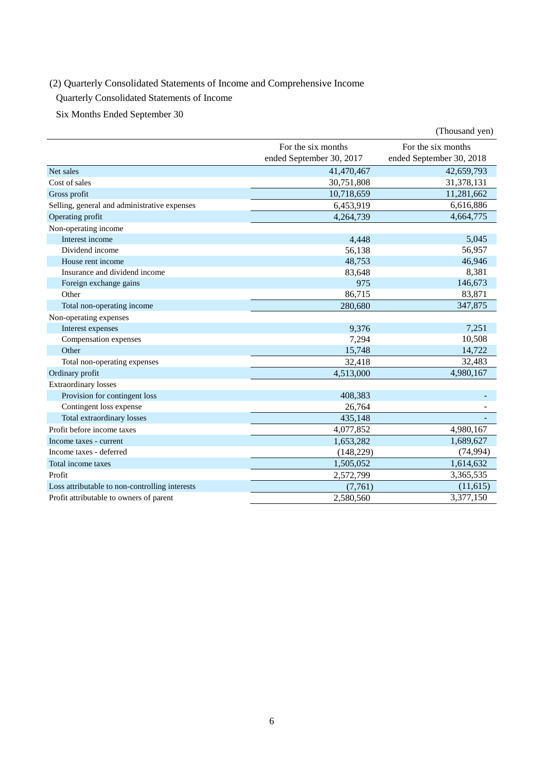## (2) Quarterly Consolidated Statements of Income and Comprehensive Income

Quarterly Consolidated Statements of Income

Six Months Ended September 30

|                                                |                          | (Thousand yen)           |
|------------------------------------------------|--------------------------|--------------------------|
|                                                | For the six months       | For the six months       |
|                                                | ended September 30, 2017 | ended September 30, 2018 |
| Net sales                                      | 41,470,467               | 42,659,793               |
| Cost of sales                                  | 30,751,808               | 31,378,131               |
| Gross profit                                   | 10,718,659               | 11,281,662               |
| Selling, general and administrative expenses   | 6,453,919                | 6,616,886                |
| Operating profit                               | 4,264,739                | 4,664,775                |
| Non-operating income                           |                          |                          |
| Interest income                                | 4,448                    | 5,045                    |
| Dividend income                                | 56,138                   | 56,957                   |
| House rent income                              | 48,753                   | 46,946                   |
| Insurance and dividend income                  | 83,648                   | 8,381                    |
| Foreign exchange gains                         | 975                      | 146,673                  |
| Other                                          | 86,715                   | 83,871                   |
| Total non-operating income                     | 280,680                  | 347,875                  |
| Non-operating expenses                         |                          |                          |
| Interest expenses                              | 9,376                    | 7,251                    |
| Compensation expenses                          | 7,294                    | 10,508                   |
| Other                                          | 15,748                   | 14,722                   |
| Total non-operating expenses                   | 32,418                   | 32,483                   |
| Ordinary profit                                | 4,513,000                | 4,980,167                |
| <b>Extraordinary losses</b>                    |                          |                          |
| Provision for contingent loss                  | 408,383                  |                          |
| Contingent loss expense                        | 26,764                   |                          |
| Total extraordinary losses                     | 435,148                  |                          |
| Profit before income taxes                     | 4,077,852                | 4,980,167                |
| Income taxes - current                         | 1,653,282                | 1,689,627                |
| Income taxes - deferred                        | (148, 229)               | (74, 994)                |
| Total income taxes                             | 1,505,052                | 1,614,632                |
| Profit                                         | 2,572,799                | 3,365,535                |
| Loss attributable to non-controlling interests | (7,761)                  | (11,615)                 |
| Profit attributable to owners of parent        | 2,580,560                | 3,377,150                |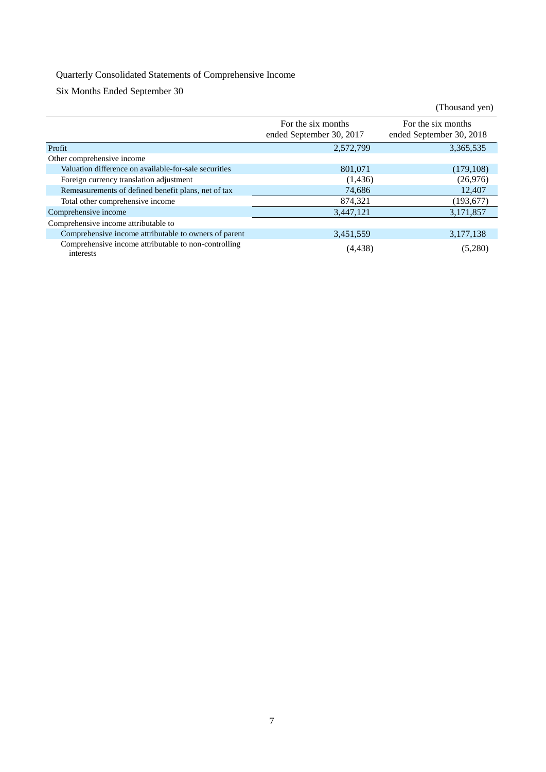## Quarterly Consolidated Statements of Comprehensive Income

Six Months Ended September 30

|                                                                   |                                                | (Thousand yen)                                 |
|-------------------------------------------------------------------|------------------------------------------------|------------------------------------------------|
|                                                                   | For the six months<br>ended September 30, 2017 | For the six months<br>ended September 30, 2018 |
| Profit                                                            | 2,572,799                                      | 3,365,535                                      |
| Other comprehensive income                                        |                                                |                                                |
| Valuation difference on available-for-sale securities             | 801.071                                        | (179, 108)                                     |
| Foreign currency translation adjustment                           | (1,436)                                        | (26,976)                                       |
| Remeasurements of defined benefit plans, net of tax               | 74,686                                         | 12,407                                         |
| Total other comprehensive income                                  | 874,321                                        | (193, 677)                                     |
| Comprehensive income                                              | 3,447,121                                      | 3,171,857                                      |
| Comprehensive income attributable to                              |                                                |                                                |
| Comprehensive income attributable to owners of parent             | 3,451,559                                      | 3,177,138                                      |
| Comprehensive income attributable to non-controlling<br>interests | (4, 438)                                       | (5,280)                                        |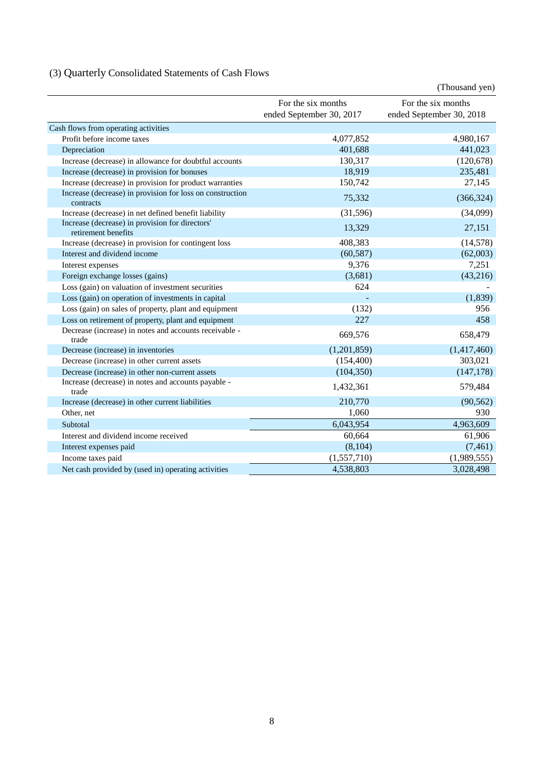# (3) Quarterly Consolidated Statements of Cash Flows

|                                                                        |                                                | (Thousand yen)                                 |
|------------------------------------------------------------------------|------------------------------------------------|------------------------------------------------|
|                                                                        | For the six months<br>ended September 30, 2017 | For the six months<br>ended September 30, 2018 |
| Cash flows from operating activities                                   |                                                |                                                |
| Profit before income taxes                                             | 4,077,852                                      | 4,980,167                                      |
| Depreciation                                                           | 401,688                                        | 441,023                                        |
| Increase (decrease) in allowance for doubtful accounts                 | 130,317                                        | (120, 678)                                     |
| Increase (decrease) in provision for bonuses                           | 18,919                                         | 235,481                                        |
| Increase (decrease) in provision for product warranties                | 150,742                                        | 27,145                                         |
| Increase (decrease) in provision for loss on construction<br>contracts | 75,332                                         | (366, 324)                                     |
| Increase (decrease) in net defined benefit liability                   | (31,596)                                       | (34,099)                                       |
| Increase (decrease) in provision for directors'<br>retirement benefits | 13,329                                         | 27,151                                         |
| Increase (decrease) in provision for contingent loss                   | 408,383                                        | (14, 578)                                      |
| Interest and dividend income                                           | (60, 587)                                      | (62,003)                                       |
| Interest expenses                                                      | 9,376                                          | 7,251                                          |
| Foreign exchange losses (gains)                                        | (3,681)                                        | (43,216)                                       |
| Loss (gain) on valuation of investment securities                      | 624                                            |                                                |
| Loss (gain) on operation of investments in capital                     |                                                | (1,839)                                        |
| Loss (gain) on sales of property, plant and equipment                  | (132)                                          | 956                                            |
| Loss on retirement of property, plant and equipment                    | 227                                            | 458                                            |
| Decrease (increase) in notes and accounts receivable -<br>trade        | 669,576                                        | 658,479                                        |
| Decrease (increase) in inventories                                     | (1,201,859)                                    | (1,417,460)                                    |
| Decrease (increase) in other current assets                            | (154, 400)                                     | 303,021                                        |
| Decrease (increase) in other non-current assets                        | (104, 350)                                     | (147, 178)                                     |
| Increase (decrease) in notes and accounts payable -<br>trade           | 1,432,361                                      | 579,484                                        |
| Increase (decrease) in other current liabilities                       | 210,770                                        | (90, 562)                                      |
| Other, net                                                             | 1,060                                          | 930                                            |
| Subtotal                                                               | 6,043,954                                      | 4,963,609                                      |
| Interest and dividend income received                                  | 60,664                                         | 61,906                                         |
| Interest expenses paid                                                 | (8, 104)                                       | (7, 461)                                       |
| Income taxes paid                                                      | (1,557,710)                                    | (1,989,555)                                    |
| Net cash provided by (used in) operating activities                    | 4,538,803                                      | 3,028,498                                      |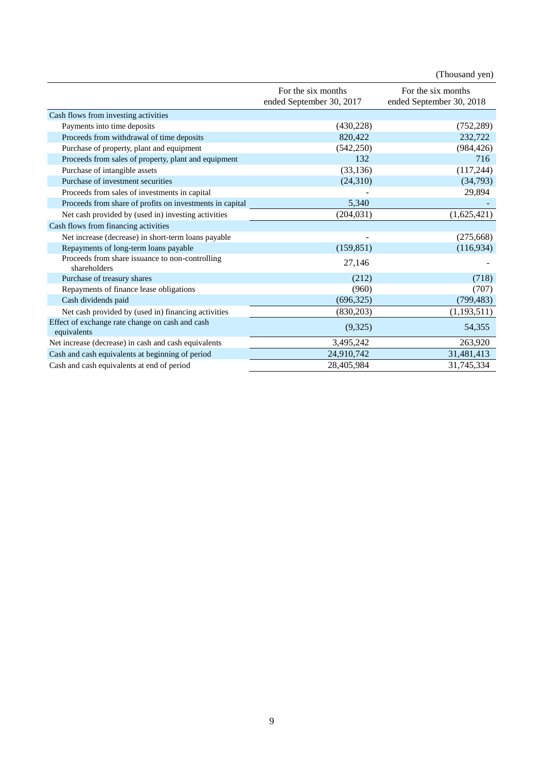|                                                                 |                          | (Thousand yen)           |
|-----------------------------------------------------------------|--------------------------|--------------------------|
|                                                                 | For the six months       | For the six months       |
|                                                                 | ended September 30, 2017 | ended September 30, 2018 |
| Cash flows from investing activities                            |                          |                          |
| Payments into time deposits                                     | (430, 228)               | (752, 289)               |
| Proceeds from withdrawal of time deposits                       | 820,422                  | 232,722                  |
| Purchase of property, plant and equipment                       | (542, 250)               | (984, 426)               |
| Proceeds from sales of property, plant and equipment            | 132                      | 716                      |
| Purchase of intangible assets                                   | (33, 136)                | (117, 244)               |
| Purchase of investment securities                               | (24,310)                 | (34,793)                 |
| Proceeds from sales of investments in capital                   |                          | 29,894                   |
| Proceeds from share of profits on investments in capital        | 5,340                    |                          |
| Net cash provided by (used in) investing activities             | (204, 031)               | (1,625,421)              |
| Cash flows from financing activities                            |                          |                          |
| Net increase (decrease) in short-term loans payable             |                          | (275, 668)               |
| Repayments of long-term loans payable                           | (159, 851)               | (116,934)                |
| Proceeds from share issuance to non-controlling<br>shareholders | 27,146                   |                          |
| Purchase of treasury shares                                     | (212)                    | (718)                    |
| Repayments of finance lease obligations                         | (960)                    | (707)                    |
| Cash dividends paid                                             | (696, 325)               | (799, 483)               |
| Net cash provided by (used in) financing activities             | (830,203)                | (1, 193, 511)            |
| Effect of exchange rate change on cash and cash<br>equivalents  | (9,325)                  | 54,355                   |
| Net increase (decrease) in cash and cash equivalents            | 3,495,242                | 263,920                  |
| Cash and cash equivalents at beginning of period                | 24,910,742               | 31,481,413               |
| Cash and cash equivalents at end of period                      | 28,405,984               | 31,745,334               |